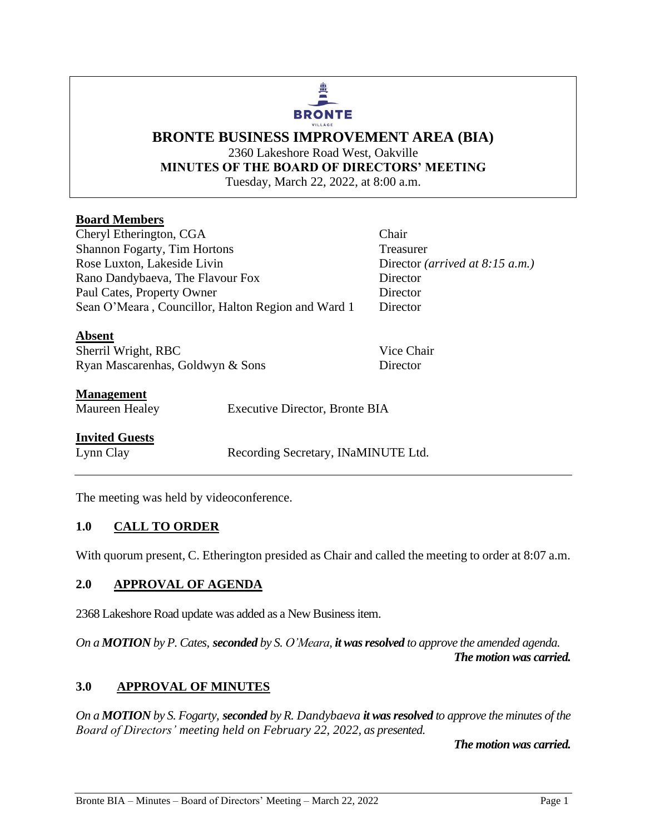# **BRONTE** VILLAGE

# **BRONTE BUSINESS IMPROVEMENT AREA (BIA)** 2360 Lakeshore Road West, Oakville **MINUTES OF THE BOARD OF DIRECTORS' MEETING** Tuesday, March 22, 2022, at 8:00 a.m.

# **Board Members**

Cheryl Etherington, CGA Chair Shannon Fogarty, Tim Hortons Treasurer Rose Luxton, Lakeside Livin Director *(arrived at 8:15 a.m.)* Rano Dandybaeva, The Flavour Fox Director Paul Cates, Property Owner Director Sean O'Meara, Councillor, Halton Region and Ward 1 Director

**Absent** Sherril Wright, RBC Vice Chair Ryan Mascarenhas, Goldwyn & Sons Director

# **Management**

Maureen Healey Executive Director, Bronte BIA

# **Invited Guests**

Lynn Clay Recording Secretary, INaMINUTE Ltd.

The meeting was held by videoconference.

# **1.0 CALL TO ORDER**

With quorum present, C. Etherington presided as Chair and called the meeting to order at 8:07 a.m.

# **2.0 APPROVAL OF AGENDA**

2368 Lakeshore Road update was added as a New Business item.

*On a MOTION by P. Cates, seconded by S. O'Meara, it was resolved to approve the amended agenda. The motion was carried.*

# **3.0 APPROVAL OF MINUTES**

*On a MOTION by S. Fogarty, seconded by R. Dandybaeva it was resolved to approve the minutes of the Board of Directors' meeting held on February 22, 2022, as presented.*

*The motion was carried.*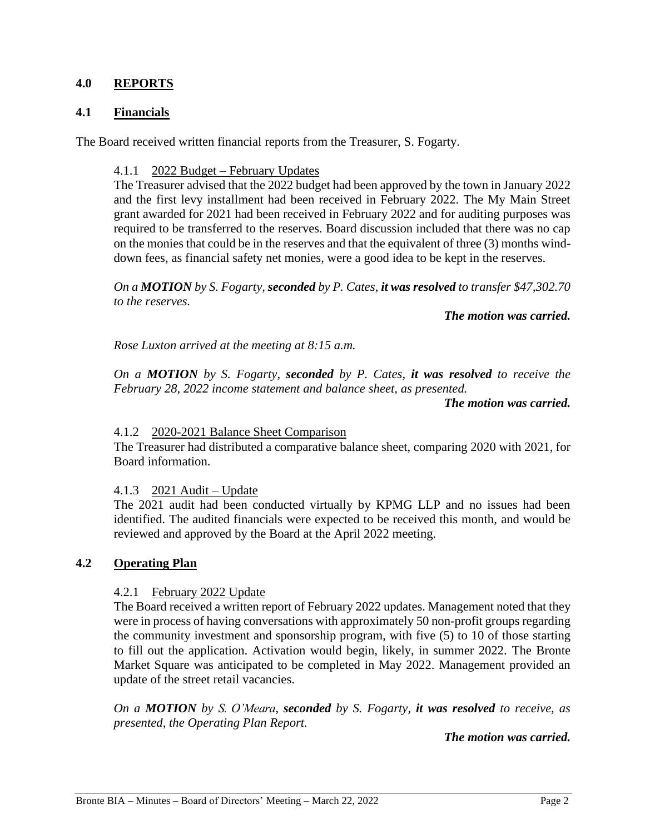## **4.0 REPORTS**

## **4.1 Financials**

The Board received written financial reports from the Treasurer, S. Fogarty.

#### 4.1.1 2022 Budget – February Updates

The Treasurer advised that the 2022 budget had been approved by the town in January 2022 and the first levy installment had been received in February 2022. The My Main Street grant awarded for 2021 had been received in February 2022 and for auditing purposes was required to be transferred to the reserves. Board discussion included that there was no cap on the monies that could be in the reserves and that the equivalent of three (3) months winddown fees, as financial safety net monies, were a good idea to be kept in the reserves.

*On a MOTION by S. Fogarty, seconded by P. Cates, it was resolved to transfer \$47,302.70 to the reserves.*

#### *The motion was carried.*

*Rose Luxton arrived at the meeting at 8:15 a.m.* 

*On a MOTION by S. Fogarty, seconded by P. Cates, it was resolved to receive the February 28, 2022 income statement and balance sheet, as presented.* 

#### *The motion was carried.*

#### 4.1.2 2020-2021 Balance Sheet Comparison

The Treasurer had distributed a comparative balance sheet, comparing 2020 with 2021, for Board information.

#### 4.1.3 2021 Audit – Update

The 2021 audit had been conducted virtually by KPMG LLP and no issues had been identified. The audited financials were expected to be received this month, and would be reviewed and approved by the Board at the April 2022 meeting.

#### **4.2 Operating Plan**

#### 4.2.1 February 2022 Update

The Board received a written report of February 2022 updates. Management noted that they were in process of having conversations with approximately 50 non-profit groups regarding the community investment and sponsorship program, with five (5) to 10 of those starting to fill out the application. Activation would begin, likely, in summer 2022. The Bronte Market Square was anticipated to be completed in May 2022. Management provided an update of the street retail vacancies.

*On a MOTION by S. O'Meara, seconded by S. Fogarty, it was resolved to receive, as presented, the Operating Plan Report.*

*The motion was carried.*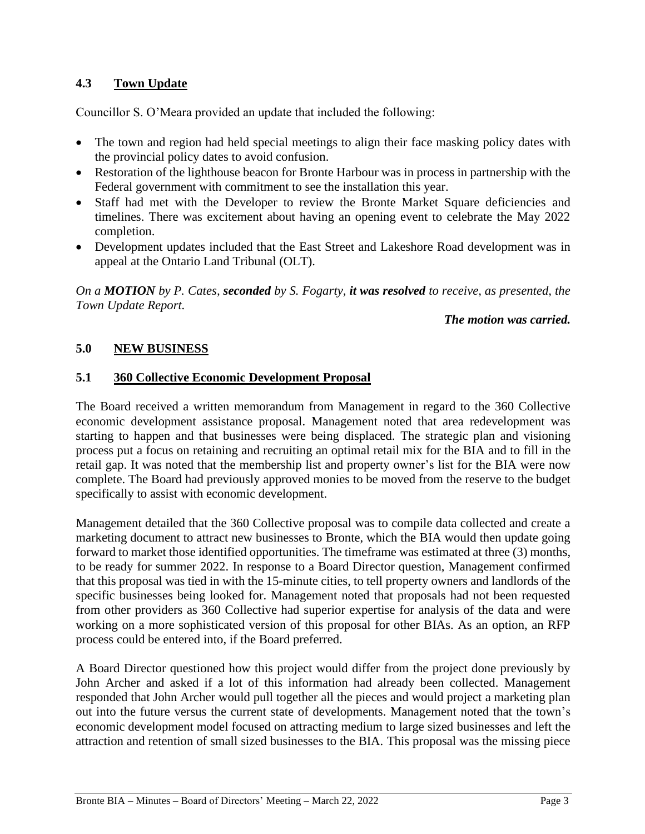# **4.3 Town Update**

Councillor S. O'Meara provided an update that included the following:

- The town and region had held special meetings to align their face masking policy dates with the provincial policy dates to avoid confusion.
- Restoration of the lighthouse beacon for Bronte Harbour was in process in partnership with the Federal government with commitment to see the installation this year.
- Staff had met with the Developer to review the Bronte Market Square deficiencies and timelines. There was excitement about having an opening event to celebrate the May 2022 completion.
- Development updates included that the East Street and Lakeshore Road development was in appeal at the Ontario Land Tribunal (OLT).

*On a MOTION by P. Cates, seconded by S. Fogarty, it was resolved to receive, as presented, the Town Update Report.*

## *The motion was carried.*

# **5.0 NEW BUSINESS**

# **5.1 360 Collective Economic Development Proposal**

The Board received a written memorandum from Management in regard to the 360 Collective economic development assistance proposal. Management noted that area redevelopment was starting to happen and that businesses were being displaced. The strategic plan and visioning process put a focus on retaining and recruiting an optimal retail mix for the BIA and to fill in the retail gap. It was noted that the membership list and property owner's list for the BIA were now complete. The Board had previously approved monies to be moved from the reserve to the budget specifically to assist with economic development.

Management detailed that the 360 Collective proposal was to compile data collected and create a marketing document to attract new businesses to Bronte, which the BIA would then update going forward to market those identified opportunities. The timeframe was estimated at three (3) months, to be ready for summer 2022. In response to a Board Director question, Management confirmed that this proposal was tied in with the 15-minute cities, to tell property owners and landlords of the specific businesses being looked for. Management noted that proposals had not been requested from other providers as 360 Collective had superior expertise for analysis of the data and were working on a more sophisticated version of this proposal for other BIAs. As an option, an RFP process could be entered into, if the Board preferred.

A Board Director questioned how this project would differ from the project done previously by John Archer and asked if a lot of this information had already been collected. Management responded that John Archer would pull together all the pieces and would project a marketing plan out into the future versus the current state of developments. Management noted that the town's economic development model focused on attracting medium to large sized businesses and left the attraction and retention of small sized businesses to the BIA. This proposal was the missing piece